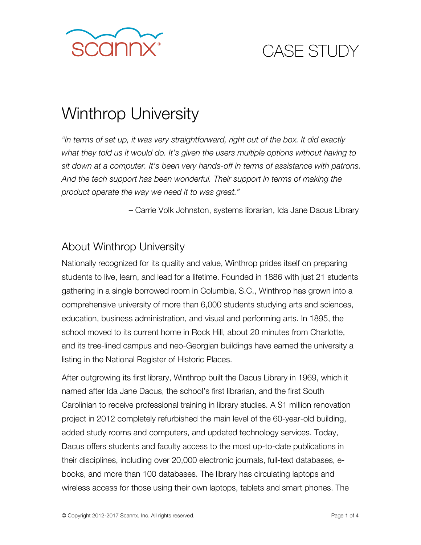

# CASE STUDY

# Winthrop University

*"In terms of set up, it was very straightforward, right out of the box. It did exactly what they told us it would do. It's given the users multiple options without having to sit down at a computer. It's been very hands-off in terms of assistance with patrons. And the tech support has been wonderful. Their support in terms of making the product operate the way we need it to was great."* 

– Carrie Volk Johnston, systems librarian, Ida Jane Dacus Library

### About Winthrop University

Nationally recognized for its quality and value, Winthrop prides itself on preparing students to live, learn, and lead for a lifetime. Founded in 1886 with just 21 students gathering in a single borrowed room in Columbia, S.C., Winthrop has grown into a comprehensive university of more than 6,000 students studying arts and sciences, education, business administration, and visual and performing arts. In 1895, the school moved to its current home in Rock Hill, about 20 minutes from Charlotte, and its tree-lined campus and neo-Georgian buildings have earned the university a listing in the National Register of Historic Places.

After outgrowing its first library, Winthrop built the Dacus Library in 1969, which it named after Ida Jane Dacus, the school's first librarian, and the first South Carolinian to receive professional training in library studies. A \$1 million renovation project in 2012 completely refurbished the main level of the 60-year-old building, added study rooms and computers, and updated technology services. Today, Dacus offers students and faculty access to the most up-to-date publications in their disciplines, including over 20,000 electronic journals, full-text databases, ebooks, and more than 100 databases. The library has circulating laptops and wireless access for those using their own laptops, tablets and smart phones. The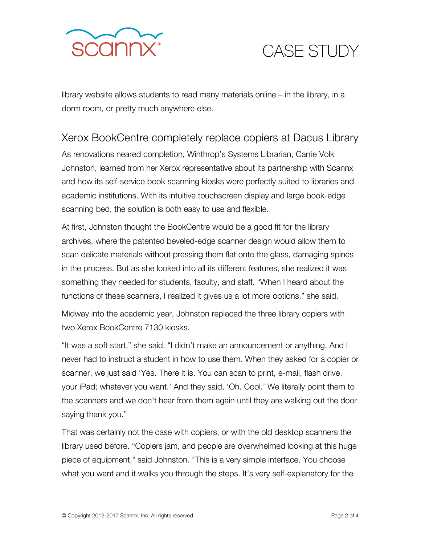

## CASE STUDY

library website allows students to read many materials online – in the library, in a dorm room, or pretty much anywhere else.

#### Xerox BookCentre completely replace copiers at Dacus Library

As renovations neared completion, Winthrop's Systems Librarian, Carrie Volk Johnston, learned from her Xerox representative about its partnership with Scannx and how its self-service book scanning kiosks were perfectly suited to libraries and academic institutions. With its intuitive touchscreen display and large book-edge scanning bed, the solution is both easy to use and flexible.

At first, Johnston thought the BookCentre would be a good fit for the library archives, where the patented beveled-edge scanner design would allow them to scan delicate materials without pressing them flat onto the glass, damaging spines in the process. But as she looked into all its different features, she realized it was something they needed for students, faculty, and staff. "When I heard about the functions of these scanners, I realized it gives us a lot more options," she said.

Midway into the academic year, Johnston replaced the three library copiers with two Xerox BookCentre 7130 kiosks.

"It was a soft start," she said. "I didn't make an announcement or anything. And I never had to instruct a student in how to use them. When they asked for a copier or scanner, we just said 'Yes. There it is. You can scan to print, e-mail, flash drive, your iPad; whatever you want.' And they said, 'Oh. Cool.' We literally point them to the scanners and we don't hear from them again until they are walking out the door saying thank you."

That was certainly not the case with copiers, or with the old desktop scanners the library used before. "Copiers jam, and people are overwhelmed looking at this huge piece of equipment," said Johnston. "This is a very simple interface. You choose what you want and it walks you through the steps. It's very self-explanatory for the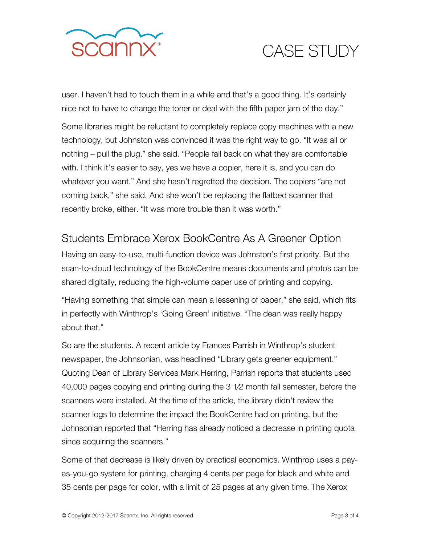

## CASE STUDY

user. I haven't had to touch them in a while and that's a good thing. It's certainly nice not to have to change the toner or deal with the fifth paper jam of the day."

Some libraries might be reluctant to completely replace copy machines with a new technology, but Johnston was convinced it was the right way to go. "It was all or nothing – pull the plug," she said. "People fall back on what they are comfortable with. I think it's easier to say, yes we have a copier, here it is, and you can do whatever you want." And she hasn't regretted the decision. The copiers "are not coming back," she said. And she won't be replacing the flatbed scanner that recently broke, either. "It was more trouble than it was worth."

### Students Embrace Xerox BookCentre As A Greener Option

Having an easy-to-use, multi-function device was Johnston's first priority. But the scan-to-cloud technology of the BookCentre means documents and photos can be shared digitally, reducing the high-volume paper use of printing and copying.

"Having something that simple can mean a lessening of paper," she said, which fits in perfectly with Winthrop's 'Going Green' initiative. "The dean was really happy about that."

So are the students. A recent article by Frances Parrish in Winthrop's student newspaper, the Johnsonian, was headlined "Library gets greener equipment." Quoting Dean of Library Services Mark Herring, Parrish reports that students used 40,000 pages copying and printing during the 3 1⁄2 month fall semester, before the scanners were installed. At the time of the article, the library didn't review the scanner logs to determine the impact the BookCentre had on printing, but the Johnsonian reported that "Herring has already noticed a decrease in printing quota since acquiring the scanners."

Some of that decrease is likely driven by practical economics. Winthrop uses a payas-you-go system for printing, charging 4 cents per page for black and white and 35 cents per page for color, with a limit of 25 pages at any given time. The Xerox